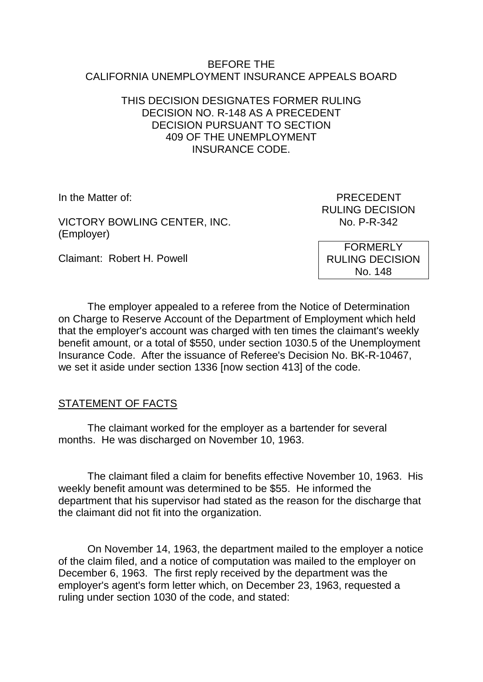#### BEFORE THE CALIFORNIA UNEMPLOYMENT INSURANCE APPEALS BOARD

#### THIS DECISION DESIGNATES FORMER RULING DECISION NO. R-148 AS A PRECEDENT DECISION PURSUANT TO SECTION 409 OF THE UNEMPLOYMENT INSURANCE CODE.

VICTORY BOWLING CENTER, INC. (Employer)

Claimant: Robert H. Powell

In the Matter of: PRECEDENT RULING DECISION<br>No. P-R-342

> FORMERLY RULING DECISION No. 148

The employer appealed to a referee from the Notice of Determination on Charge to Reserve Account of the Department of Employment which held that the employer's account was charged with ten times the claimant's weekly benefit amount, or a total of \$550, under section 1030.5 of the Unemployment Insurance Code. After the issuance of Referee's Decision No. BK-R-10467, we set it aside under section 1336 [now section 413] of the code.

# STATEMENT OF FACTS

The claimant worked for the employer as a bartender for several months. He was discharged on November 10, 1963.

The claimant filed a claim for benefits effective November 10, 1963. His weekly benefit amount was determined to be \$55. He informed the department that his supervisor had stated as the reason for the discharge that the claimant did not fit into the organization.

On November 14, 1963, the department mailed to the employer a notice of the claim filed, and a notice of computation was mailed to the employer on December 6, 1963. The first reply received by the department was the employer's agent's form letter which, on December 23, 1963, requested a ruling under section 1030 of the code, and stated: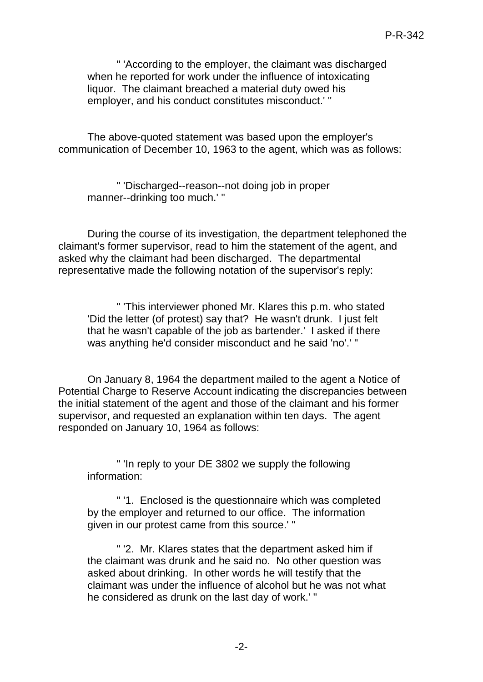" 'According to the employer, the claimant was discharged when he reported for work under the influence of intoxicating liquor. The claimant breached a material duty owed his employer, and his conduct constitutes misconduct.' "

The above-quoted statement was based upon the employer's communication of December 10, 1963 to the agent, which was as follows:

" 'Discharged--reason--not doing job in proper manner--drinking too much.' "

During the course of its investigation, the department telephoned the claimant's former supervisor, read to him the statement of the agent, and asked why the claimant had been discharged. The departmental representative made the following notation of the supervisor's reply:

" 'This interviewer phoned Mr. Klares this p.m. who stated 'Did the letter (of protest) say that? He wasn't drunk. I just felt that he wasn't capable of the job as bartender.' I asked if there was anything he'd consider misconduct and he said 'no'.' "

On January 8, 1964 the department mailed to the agent a Notice of Potential Charge to Reserve Account indicating the discrepancies between the initial statement of the agent and those of the claimant and his former supervisor, and requested an explanation within ten days. The agent responded on January 10, 1964 as follows:

" 'In reply to your DE 3802 we supply the following information:

" '1. Enclosed is the questionnaire which was completed by the employer and returned to our office. The information given in our protest came from this source.' "

" '2. Mr. Klares states that the department asked him if the claimant was drunk and he said no. No other question was asked about drinking. In other words he will testify that the claimant was under the influence of alcohol but he was not what he considered as drunk on the last day of work.' "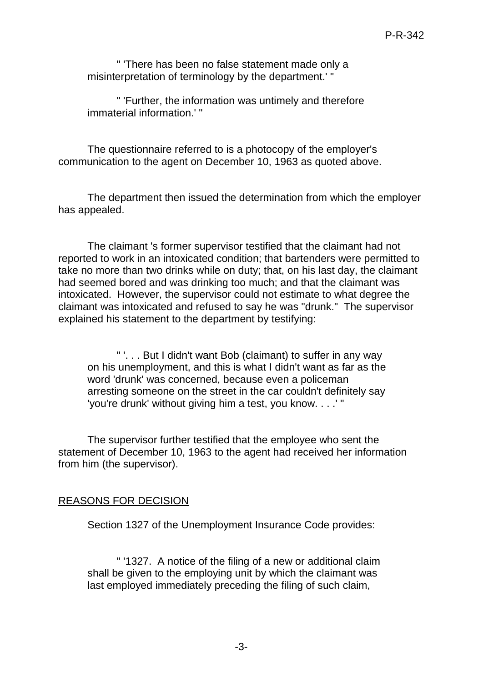" 'There has been no false statement made only a misinterpretation of terminology by the department.' "

" 'Further, the information was untimely and therefore immaterial information.' "

The questionnaire referred to is a photocopy of the employer's communication to the agent on December 10, 1963 as quoted above.

The department then issued the determination from which the employer has appealed.

The claimant 's former supervisor testified that the claimant had not reported to work in an intoxicated condition; that bartenders were permitted to take no more than two drinks while on duty; that, on his last day, the claimant had seemed bored and was drinking too much; and that the claimant was intoxicated. However, the supervisor could not estimate to what degree the claimant was intoxicated and refused to say he was "drunk." The supervisor explained his statement to the department by testifying:

" '. . . But I didn't want Bob (claimant) to suffer in any way on his unemployment, and this is what I didn't want as far as the word 'drunk' was concerned, because even a policeman arresting someone on the street in the car couldn't definitely say 'you're drunk' without giving him a test, you know. . . .' "

The supervisor further testified that the employee who sent the statement of December 10, 1963 to the agent had received her information from him (the supervisor).

# REASONS FOR DECISION

Section 1327 of the Unemployment Insurance Code provides:

" '1327. A notice of the filing of a new or additional claim shall be given to the employing unit by which the claimant was last employed immediately preceding the filing of such claim,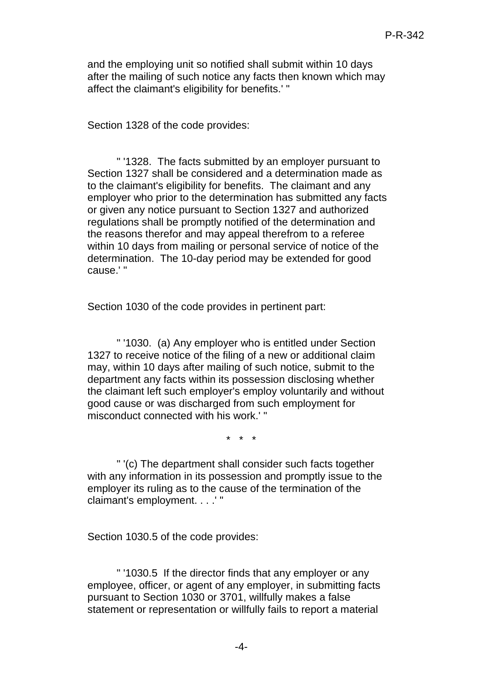and the employing unit so notified shall submit within 10 days after the mailing of such notice any facts then known which may affect the claimant's eligibility for benefits.' "

Section 1328 of the code provides:

" '1328. The facts submitted by an employer pursuant to Section 1327 shall be considered and a determination made as to the claimant's eligibility for benefits. The claimant and any employer who prior to the determination has submitted any facts or given any notice pursuant to Section 1327 and authorized regulations shall be promptly notified of the determination and the reasons therefor and may appeal therefrom to a referee within 10 days from mailing or personal service of notice of the determination. The 10-day period may be extended for good cause.' "

Section 1030 of the code provides in pertinent part:

" '1030. (a) Any employer who is entitled under Section 1327 to receive notice of the filing of a new or additional claim may, within 10 days after mailing of such notice, submit to the department any facts within its possession disclosing whether the claimant left such employer's employ voluntarily and without good cause or was discharged from such employment for misconduct connected with his work.' "

\* \* \*

" '(c) The department shall consider such facts together with any information in its possession and promptly issue to the employer its ruling as to the cause of the termination of the claimant's employment. . . .' "

Section 1030.5 of the code provides:

" '1030.5 If the director finds that any employer or any employee, officer, or agent of any employer, in submitting facts pursuant to Section 1030 or 3701, willfully makes a false statement or representation or willfully fails to report a material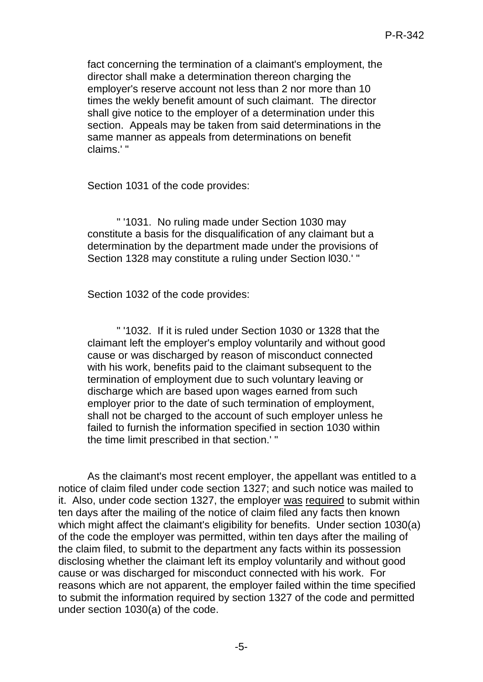fact concerning the termination of a claimant's employment, the director shall make a determination thereon charging the employer's reserve account not less than 2 nor more than 10 times the wekly benefit amount of such claimant. The director shall give notice to the employer of a determination under this section. Appeals may be taken from said determinations in the same manner as appeals from determinations on benefit claims.' "

Section 1031 of the code provides:

" '1031. No ruling made under Section 1030 may constitute a basis for the disqualification of any claimant but a determination by the department made under the provisions of Section 1328 may constitute a ruling under Section l030.' "

Section 1032 of the code provides:

" '1032. If it is ruled under Section 1030 or 1328 that the claimant left the employer's employ voluntarily and without good cause or was discharged by reason of misconduct connected with his work, benefits paid to the claimant subsequent to the termination of employment due to such voluntary leaving or discharge which are based upon wages earned from such employer prior to the date of such termination of employment, shall not be charged to the account of such employer unless he failed to furnish the information specified in section 1030 within the time limit prescribed in that section.' "

As the claimant's most recent employer, the appellant was entitled to a notice of claim filed under code section 1327; and such notice was mailed to it. Also, under code section 1327, the employer was required to submit within ten days after the mailing of the notice of claim filed any facts then known which might affect the claimant's eligibility for benefits. Under section 1030(a) of the code the employer was permitted, within ten days after the mailing of the claim filed, to submit to the department any facts within its possession disclosing whether the claimant left its employ voluntarily and without good cause or was discharged for misconduct connected with his work. For reasons which are not apparent, the employer failed within the time specified to submit the information required by section 1327 of the code and permitted under section 1030(a) of the code.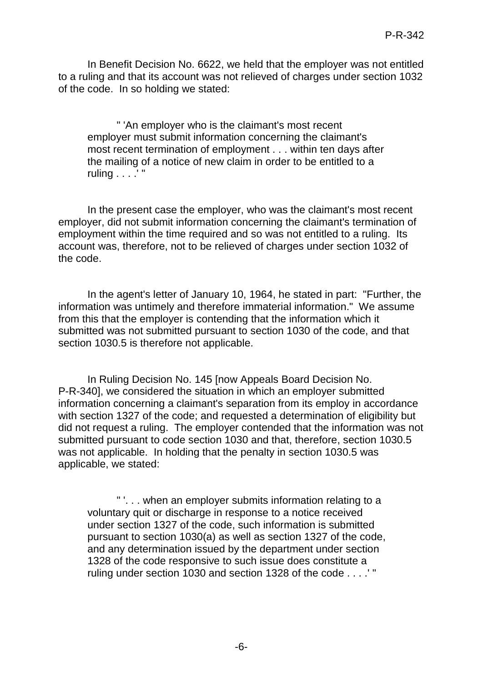In Benefit Decision No. 6622, we held that the employer was not entitled to a ruling and that its account was not relieved of charges under section 1032 of the code. In so holding we stated:

" 'An employer who is the claimant's most recent employer must submit information concerning the claimant's most recent termination of employment . . . within ten days after the mailing of a notice of new claim in order to be entitled to a ruling . . . .' "

In the present case the employer, who was the claimant's most recent employer, did not submit information concerning the claimant's termination of employment within the time required and so was not entitled to a ruling. Its account was, therefore, not to be relieved of charges under section 1032 of the code.

In the agent's letter of January 10, 1964, he stated in part: "Further, the information was untimely and therefore immaterial information." We assume from this that the employer is contending that the information which it submitted was not submitted pursuant to section 1030 of the code, and that section 1030.5 is therefore not applicable.

In Ruling Decision No. 145 [now Appeals Board Decision No. P-R-340], we considered the situation in which an employer submitted information concerning a claimant's separation from its employ in accordance with section 1327 of the code; and requested a determination of eligibility but did not request a ruling. The employer contended that the information was not submitted pursuant to code section 1030 and that, therefore, section 1030.5 was not applicable. In holding that the penalty in section 1030.5 was applicable, we stated:

" '. . . when an employer submits information relating to a voluntary quit or discharge in response to a notice received under section 1327 of the code, such information is submitted pursuant to section 1030(a) as well as section 1327 of the code, and any determination issued by the department under section 1328 of the code responsive to such issue does constitute a ruling under section 1030 and section 1328 of the code . . . .' "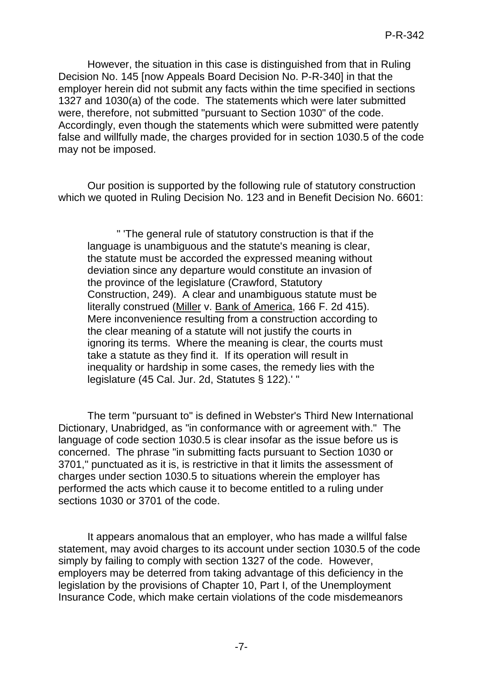However, the situation in this case is distinguished from that in Ruling Decision No. 145 [now Appeals Board Decision No. P-R-340] in that the employer herein did not submit any facts within the time specified in sections 1327 and 1030(a) of the code. The statements which were later submitted were, therefore, not submitted "pursuant to Section 1030" of the code. Accordingly, even though the statements which were submitted were patently false and willfully made, the charges provided for in section 1030.5 of the code may not be imposed.

Our position is supported by the following rule of statutory construction which we quoted in Ruling Decision No. 123 and in Benefit Decision No. 6601:

" 'The general rule of statutory construction is that if the language is unambiguous and the statute's meaning is clear, the statute must be accorded the expressed meaning without deviation since any departure would constitute an invasion of the province of the legislature (Crawford, Statutory Construction, 249). A clear and unambiguous statute must be literally construed (Miller v. Bank of America, 166 F. 2d 415). Mere inconvenience resulting from a construction according to the clear meaning of a statute will not justify the courts in ignoring its terms. Where the meaning is clear, the courts must take a statute as they find it. If its operation will result in inequality or hardship in some cases, the remedy lies with the legislature (45 Cal. Jur. 2d, Statutes § 122).' "

The term "pursuant to" is defined in Webster's Third New International Dictionary, Unabridged, as "in conformance with or agreement with." The language of code section 1030.5 is clear insofar as the issue before us is concerned. The phrase "in submitting facts pursuant to Section 1030 or 3701," punctuated as it is, is restrictive in that it limits the assessment of charges under section 1030.5 to situations wherein the employer has performed the acts which cause it to become entitled to a ruling under sections 1030 or 3701 of the code.

It appears anomalous that an employer, who has made a willful false statement, may avoid charges to its account under section 1030.5 of the code simply by failing to comply with section 1327 of the code. However, employers may be deterred from taking advantage of this deficiency in the legislation by the provisions of Chapter 10, Part I, of the Unemployment Insurance Code, which make certain violations of the code misdemeanors